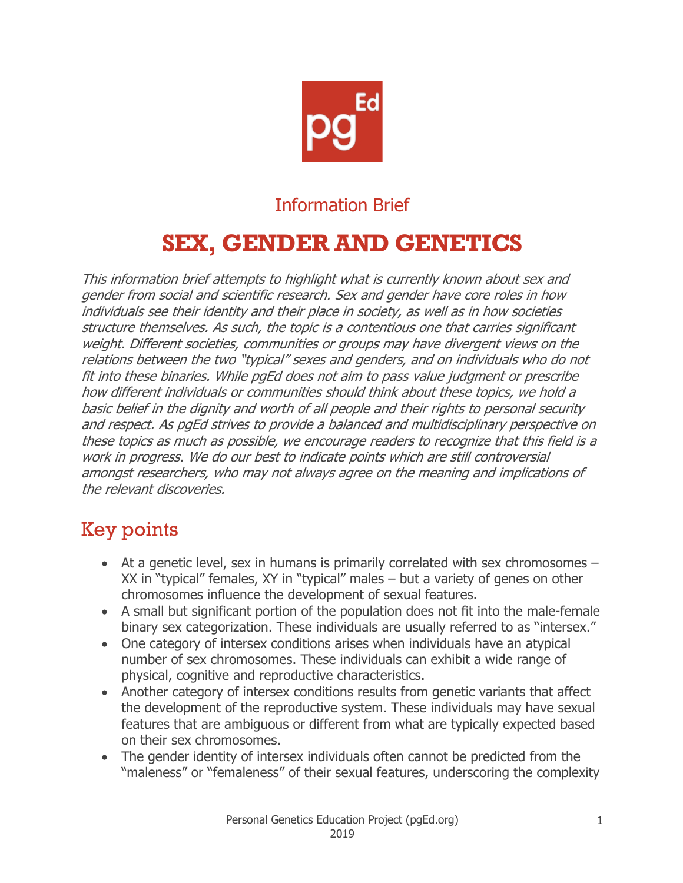

# Information Brief

# **SEX, GENDER AND GENETICS**

This information brief attempts to highlight what is currently known about sex and gender from social and scientific research. Sex and gender have core roles in how individuals see their identity and their place in society, as well as in how societies structure themselves. As such, the topic is a contentious one that carries significant weight. Different societies, communities or groups may have divergent views on the relations between the two "typical" sexes and genders, and on individuals who do not fit into these binaries. While pgEd does not aim to pass value judgment or prescribe how different individuals or communities should think about these topics, we hold a basic belief in the dignity and worth of all people and their rights to personal security and respect. As pgEd strives to provide a balanced and multidisciplinary perspective on these topics as much as possible, we encourage readers to recognize that this field is a work in progress. We do our best to indicate points which are still controversial amongst researchers, who may not always agree on the meaning and implications of the relevant discoveries.

# Key points

- At a genetic level, sex in humans is primarily correlated with sex chromosomes XX in "typical" females, XY in "typical" males – but a variety of genes on other chromosomes influence the development of sexual features.
- A small but significant portion of the population does not fit into the male-female binary sex categorization. These individuals are usually referred to as "intersex."
- One category of intersex conditions arises when individuals have an atypical number of sex chromosomes. These individuals can exhibit a wide range of physical, cognitive and reproductive characteristics.
- Another category of intersex conditions results from genetic variants that affect the development of the reproductive system. These individuals may have sexual features that are ambiguous or different from what are typically expected based on their sex chromosomes.
- The gender identity of intersex individuals often cannot be predicted from the "maleness" or "femaleness" of their sexual features, underscoring the complexity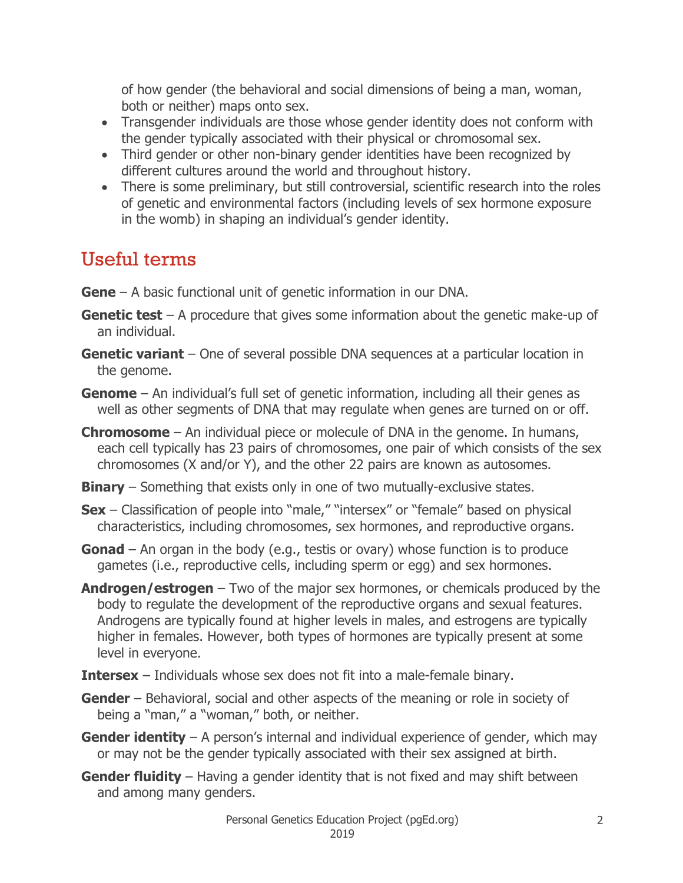of how gender (the behavioral and social dimensions of being a man, woman, both or neither) maps onto sex.

- Transgender individuals are those whose gender identity does not conform with the gender typically associated with their physical or chromosomal sex.
- Third gender or other non-binary gender identities have been recognized by different cultures around the world and throughout history.
- There is some preliminary, but still controversial, scientific research into the roles of genetic and environmental factors (including levels of sex hormone exposure in the womb) in shaping an individual's gender identity.

# Useful terms

- **Gene** A basic functional unit of genetic information in our DNA.
- **Genetic test** A procedure that gives some information about the genetic make-up of an individual.
- **Genetic variant** One of several possible DNA sequences at a particular location in the genome.
- **Genome** An individual's full set of genetic information, including all their genes as well as other segments of DNA that may regulate when genes are turned on or off.
- **Chromosome** An individual piece or molecule of DNA in the genome. In humans, each cell typically has 23 pairs of chromosomes, one pair of which consists of the sex chromosomes (X and/or Y), and the other 22 pairs are known as autosomes.
- **Binary** Something that exists only in one of two mutually-exclusive states.
- **Sex** Classification of people into "male," "intersex" or "female" based on physical characteristics, including chromosomes, sex hormones, and reproductive organs.
- **Gonad** An organ in the body (e.g., testis or ovary) whose function is to produce gametes (i.e., reproductive cells, including sperm or egg) and sex hormones.
- **Androgen/estrogen** Two of the major sex hormones, or chemicals produced by the body to regulate the development of the reproductive organs and sexual features. Androgens are typically found at higher levels in males, and estrogens are typically higher in females. However, both types of hormones are typically present at some level in everyone.
- **Intersex** Individuals whose sex does not fit into a male-female binary.
- **Gender** Behavioral, social and other aspects of the meaning or role in society of being a "man," a "woman," both, or neither.
- **Gender identity** A person's internal and individual experience of gender, which may or may not be the gender typically associated with their sex assigned at birth.
- **Gender fluidity** Having a gender identity that is not fixed and may shift between and among many genders.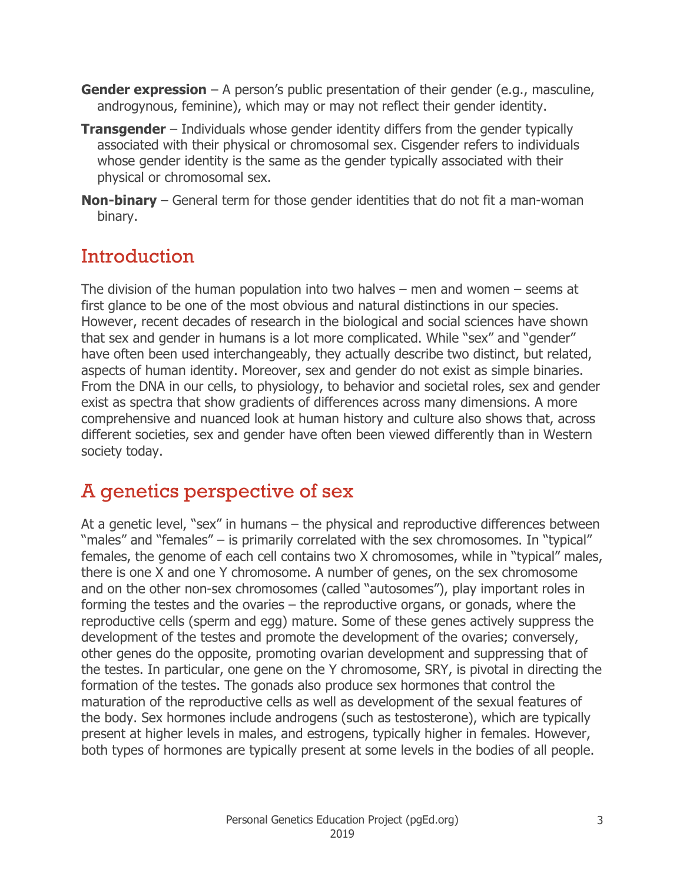- **Gender expression** A person's public presentation of their gender (e.g., masculine, androgynous, feminine), which may or may not reflect their gender identity.
- **Transgender** Individuals whose gender identity differs from the gender typically associated with their physical or chromosomal sex. Cisgender refers to individuals whose gender identity is the same as the gender typically associated with their physical or chromosomal sex.
- **Non-binary** General term for those gender identities that do not fit a man-woman binary.

# Introduction

The division of the human population into two halves – men and women – seems at first glance to be one of the most obvious and natural distinctions in our species. However, recent decades of research in the biological and social sciences have shown that sex and gender in humans is a lot more complicated. While "sex" and "gender" have often been used interchangeably, they actually describe two distinct, but related, aspects of human identity. Moreover, sex and gender do not exist as simple binaries. From the DNA in our cells, to physiology, to behavior and societal roles, sex and gender exist as spectra that show gradients of differences across many dimensions. A more comprehensive and nuanced look at human history and culture also shows that, across different societies, sex and gender have often been viewed differently than in Western society today.

# A genetics perspective of sex

At a genetic level, "sex" in humans – the physical and reproductive differences between "males" and "females" – is primarily correlated with the sex chromosomes. In "typical" females, the genome of each cell contains two X chromosomes, while in "typical" males, there is one X and one Y chromosome. A number of genes, on the sex chromosome and on the other non-sex chromosomes (called "autosomes"), play important roles in forming the testes and the ovaries – the reproductive organs, or gonads, where the reproductive cells (sperm and egg) mature. Some of these genes actively suppress the development of the testes and promote the development of the ovaries; conversely, other genes do the opposite, promoting ovarian development and suppressing that of the testes. In particular, one gene on the Y chromosome, SRY, is pivotal in directing the formation of the testes. The gonads also produce sex hormones that control the maturation of the reproductive cells as well as development of the sexual features of the body. Sex hormones include androgens (such as testosterone), which are typically present at higher levels in males, and estrogens, typically higher in females. However, both types of hormones are typically present at some levels in the bodies of all people.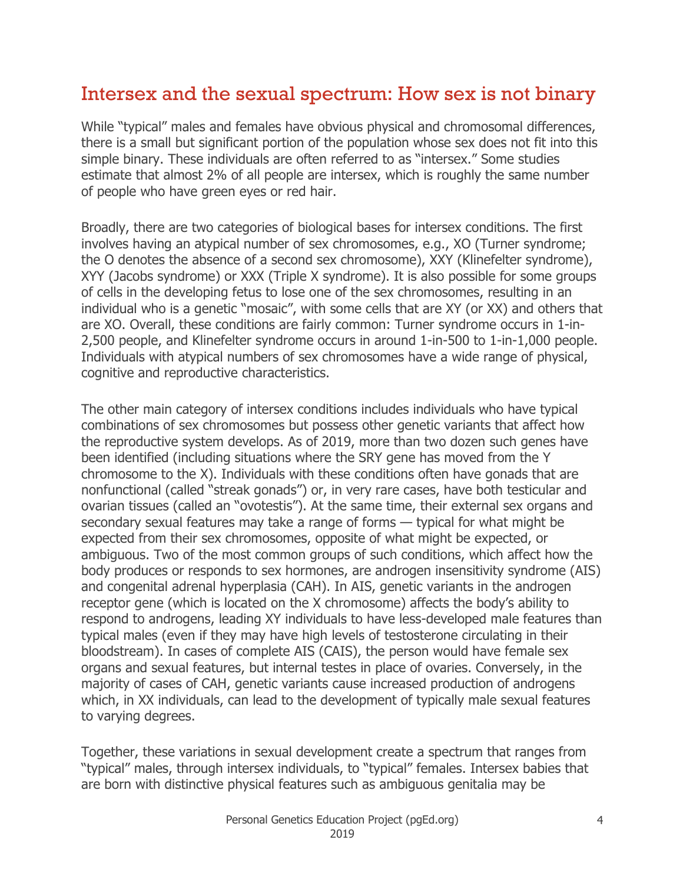### Intersex and the sexual spectrum: How sex is not binary

While "typical" males and females have obvious physical and chromosomal differences, there is a small but significant portion of the population whose sex does not fit into this simple binary. These individuals are often referred to as "intersex." Some studies estimate that almost 2% of all people are intersex, which is roughly the same number of people who have green eyes or red hair.

Broadly, there are two categories of biological bases for intersex conditions. The first involves having an atypical number of sex chromosomes, e.g., XO (Turner syndrome; the O denotes the absence of a second sex chromosome), XXY (Klinefelter syndrome), XYY (Jacobs syndrome) or XXX (Triple X syndrome). It is also possible for some groups of cells in the developing fetus to lose one of the sex chromosomes, resulting in an individual who is a genetic "mosaic", with some cells that are XY (or XX) and others that are XO. Overall, these conditions are fairly common: Turner syndrome occurs in 1-in-2,500 people, and Klinefelter syndrome occurs in around 1-in-500 to 1-in-1,000 people. Individuals with atypical numbers of sex chromosomes have a wide range of physical, cognitive and reproductive characteristics.

The other main category of intersex conditions includes individuals who have typical combinations of sex chromosomes but possess other genetic variants that affect how the reproductive system develops. As of 2019, more than two dozen such genes have been identified (including situations where the SRY gene has moved from the Y chromosome to the X). Individuals with these conditions often have gonads that are nonfunctional (called "streak gonads") or, in very rare cases, have both testicular and ovarian tissues (called an "ovotestis"). At the same time, their external sex organs and secondary sexual features may take a range of forms — typical for what might be expected from their sex chromosomes, opposite of what might be expected, or ambiguous. Two of the most common groups of such conditions, which affect how the body produces or responds to sex hormones, are androgen insensitivity syndrome (AIS) and congenital adrenal hyperplasia (CAH). In AIS, genetic variants in the androgen receptor gene (which is located on the X chromosome) affects the body's ability to respond to androgens, leading XY individuals to have less-developed male features than typical males (even if they may have high levels of testosterone circulating in their bloodstream). In cases of complete AIS (CAIS), the person would have female sex organs and sexual features, but internal testes in place of ovaries. Conversely, in the majority of cases of CAH, genetic variants cause increased production of androgens which, in XX individuals, can lead to the development of typically male sexual features to varying degrees.

Together, these variations in sexual development create a spectrum that ranges from "typical" males, through intersex individuals, to "typical" females. Intersex babies that are born with distinctive physical features such as ambiguous genitalia may be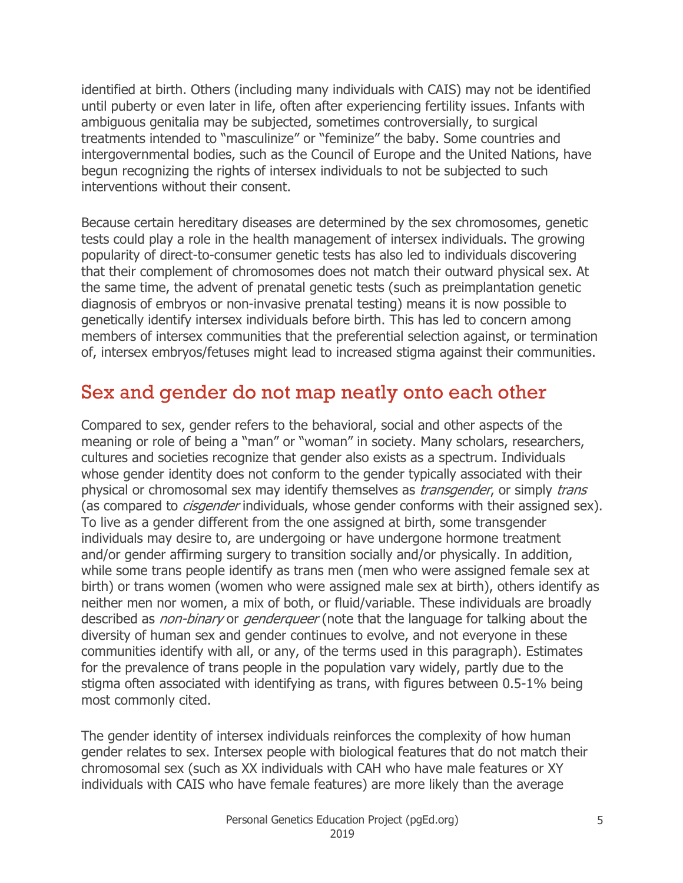identified at birth. Others (including many individuals with CAIS) may not be identified until puberty or even later in life, often after experiencing fertility issues. Infants with ambiguous genitalia may be subjected, sometimes controversially, to surgical treatments intended to "masculinize" or "feminize" the baby. Some countries and intergovernmental bodies, such as the Council of Europe and the United Nations, have begun recognizing the rights of intersex individuals to not be subjected to such interventions without their consent.

Because certain hereditary diseases are determined by the sex chromosomes, genetic tests could play a role in the health management of intersex individuals. The growing popularity of direct-to-consumer genetic tests has also led to individuals discovering that their complement of chromosomes does not match their outward physical sex. At the same time, the advent of prenatal genetic tests (such as preimplantation genetic diagnosis of embryos or non-invasive prenatal testing) means it is now possible to genetically identify intersex individuals before birth. This has led to concern among members of intersex communities that the preferential selection against, or termination of, intersex embryos/fetuses might lead to increased stigma against their communities.

#### Sex and gender do not map neatly onto each other

Compared to sex, gender refers to the behavioral, social and other aspects of the meaning or role of being a "man" or "woman" in society. Many scholars, researchers, cultures and societies recognize that gender also exists as a spectrum. Individuals whose gender identity does not conform to the gender typically associated with their physical or chromosomal sex may identify themselves as *transgender*, or simply *trans* (as compared to *cisgender* individuals, whose gender conforms with their assigned sex). To live as a gender different from the one assigned at birth, some transgender individuals may desire to, are undergoing or have undergone hormone treatment and/or gender affirming surgery to transition socially and/or physically. In addition, while some trans people identify as trans men (men who were assigned female sex at birth) or trans women (women who were assigned male sex at birth), others identify as neither men nor women, a mix of both, or fluid/variable. These individuals are broadly described as *non-binary* or *genderqueer* (note that the language for talking about the diversity of human sex and gender continues to evolve, and not everyone in these communities identify with all, or any, of the terms used in this paragraph). Estimates for the prevalence of trans people in the population vary widely, partly due to the stigma often associated with identifying as trans, with figures between 0.5-1% being most commonly cited.

The gender identity of intersex individuals reinforces the complexity of how human gender relates to sex. Intersex people with biological features that do not match their chromosomal sex (such as XX individuals with CAH who have male features or XY individuals with CAIS who have female features) are more likely than the average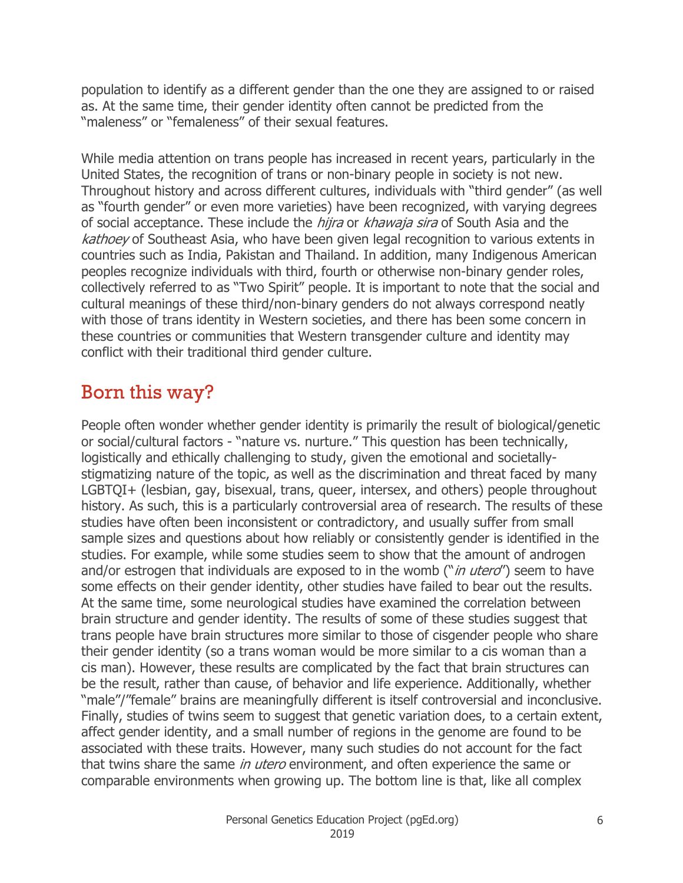population to identify as a different gender than the one they are assigned to or raised as. At the same time, their gender identity often cannot be predicted from the "maleness" or "femaleness" of their sexual features.

While media attention on trans people has increased in recent years, particularly in the United States, the recognition of trans or non-binary people in society is not new. Throughout history and across different cultures, individuals with "third gender" (as well as "fourth gender" or even more varieties) have been recognized, with varying degrees of social acceptance. These include the *hijra* or *khawaja sira* of South Asia and the kathoey of Southeast Asia, who have been given legal recognition to various extents in countries such as India, Pakistan and Thailand. In addition, many Indigenous American peoples recognize individuals with third, fourth or otherwise non-binary gender roles, collectively referred to as "Two Spirit" people. It is important to note that the social and cultural meanings of these third/non-binary genders do not always correspond neatly with those of trans identity in Western societies, and there has been some concern in these countries or communities that Western transgender culture and identity may conflict with their traditional third gender culture.

### Born this way?

People often wonder whether gender identity is primarily the result of biological/genetic or social/cultural factors - "nature vs. nurture." This question has been technically, logistically and ethically challenging to study, given the emotional and societallystigmatizing nature of the topic, as well as the discrimination and threat faced by many LGBTQI+ (lesbian, gay, bisexual, trans, queer, intersex, and others) people throughout history. As such, this is a particularly controversial area of research. The results of these studies have often been inconsistent or contradictory, and usually suffer from small sample sizes and questions about how reliably or consistently gender is identified in the studies. For example, while some studies seem to show that the amount of androgen and/or estrogen that individuals are exposed to in the womb ("*in utero*") seem to have some effects on their gender identity, other studies have failed to bear out the results. At the same time, some neurological studies have examined the correlation between brain structure and gender identity. The results of some of these studies suggest that trans people have brain structures more similar to those of cisgender people who share their gender identity (so a trans woman would be more similar to a cis woman than a cis man). However, these results are complicated by the fact that brain structures can be the result, rather than cause, of behavior and life experience. Additionally, whether "male"/"female" brains are meaningfully different is itself controversial and inconclusive. Finally, studies of twins seem to suggest that genetic variation does, to a certain extent, affect gender identity, and a small number of regions in the genome are found to be associated with these traits. However, many such studies do not account for the fact that twins share the same *in utero* environment, and often experience the same or comparable environments when growing up. The bottom line is that, like all complex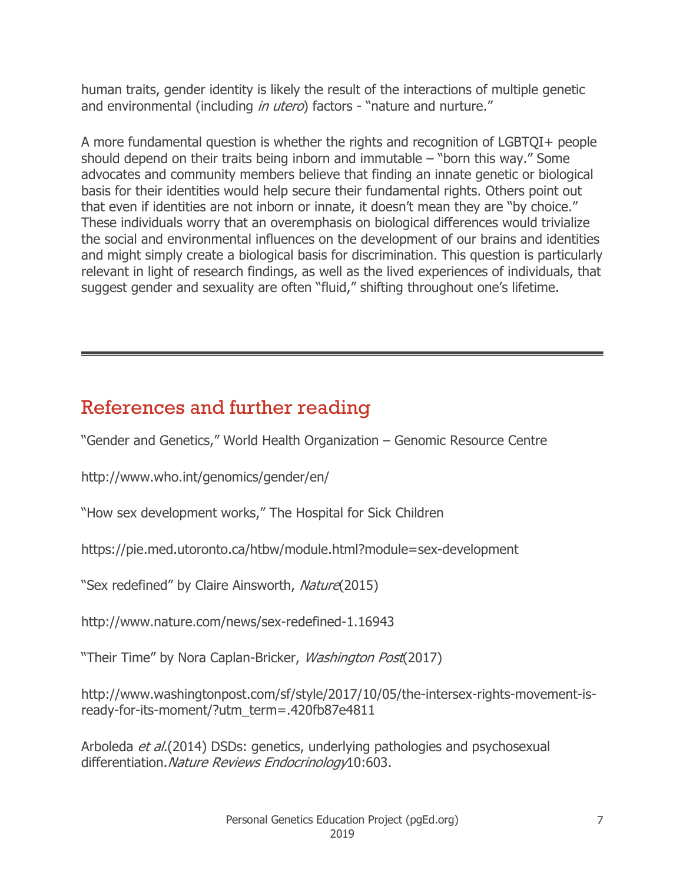human traits, gender identity is likely the result of the interactions of multiple genetic and environmental (including *in utero*) factors - "nature and nurture."

A more fundamental question is whether the rights and recognition of LGBTQI+ people should depend on their traits being inborn and immutable – "born this way." Some advocates and community members believe that finding an innate genetic or biological basis for their identities would help secure their fundamental rights. Others point out that even if identities are not inborn or innate, it doesn't mean they are "by choice." These individuals worry that an overemphasis on biological differences would trivialize the social and environmental influences on the development of our brains and identities and might simply create a biological basis for discrimination. This question is particularly relevant in light of research findings, as well as the lived experiences of individuals, that suggest gender and sexuality are often "fluid," shifting throughout one's lifetime.

### References and further reading

"Gender and Genetics," World Health Organization – Genomic Resource Centre

http://www.who.int/genomics/gender/en/

"How sex development works," The Hospital for Sick Children

https://pie.med.utoronto.ca/htbw/module.html?module=sex-development

"Sex redefined" by Claire Ainsworth, Nature (2015)

http://www.nature.com/news/sex-redefined-1.16943

"Their Time" by Nora Caplan-Bricker, Washington Post(2017)

http://www.washingtonpost.com/sf/style/2017/10/05/the-intersex-rights-movement-isready-for-its-moment/?utm\_term=.420fb87e4811

Arboleda et al.(2014) DSDs: genetics, underlying pathologies and psychosexual differentiation. Nature Reviews Endocrinology10:603.